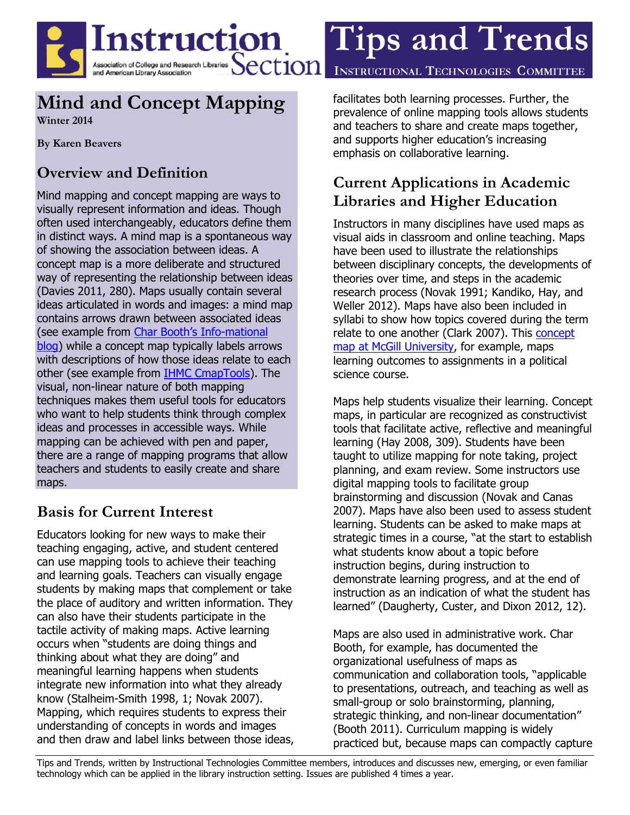

# **Mind and Concept Mapping**

**Winter 2014**

**By Karen Beavers**

## **Overview and Definition**

Mind mapping and concept mapping are ways to visually represent information and ideas. Though often used interchangeably, educators define them in distinct ways. A mind map is a spontaneous way of showing the association between ideas. A concept map is a more deliberate and structured way of representing the relationship between ideas (Davies 2011, 280). Maps usually contain several ideas articulated in words and images: a mind map contains arrows drawn between associated ideas (see example from [Char Booth's Info](http://infomational.files.wordpress.com/2011/08/bestbreakfast2.png)-mational [blog\)](http://infomational.files.wordpress.com/2011/08/bestbreakfast2.png) while a concept map typically labels arrows with descriptions of how those ideas relate to each other (see example from [IHMC CmapTools\)](http://cmap.ihmc.us/publications/researchpapers/theorycmaps/Fig1CmapAboutCmaps-large.png). The visual, non-linear nature of both mapping techniques makes them useful tools for educators who want to help students think through complex ideas and processes in accessible ways. While mapping can be achieved with pen and paper, there are a range of mapping programs that allow teachers and students to easily create and share maps.

### **Basis for Current Interest**

Educators looking for new ways to make their teaching engaging, active, and student centered can use mapping tools to achieve their teaching and learning goals. Teachers can visually engage students by making maps that complement or take the place of auditory and written information. They can also have their students participate in the tactile activity of making maps. Active learning occurs when "students are doing things and thinking about what they are doing" and meaningful learning happens when students integrate new information into what they already know (Stalheim-Smith 1998, 1; Novak 2007). Mapping, which requires students to express their understanding of concepts in words and images and then draw and label links between those ideas, facilitates both learning processes. Further, the prevalence of online mapping tools allows students and teachers to share and create maps together, and supports higher education's increasing emphasis on collaborative learning.

## **Current Applications in Academic Libraries and Higher Education**

Instructors in many disciplines have used maps as visual aids in classroom and online teaching. Maps have been used to illustrate the relationships between disciplinary concepts, the developments of theories over time, and steps in the academic research process (Novak 1991; Kandiko, Hay, and Weller 2012). Maps have also been included in syllabi to show how topics covered during the term relate to one another (Clark 2007). This [concept](http://cmapspublic.ihmc.us/rid=1257302803484_1555146829_44329/POLI322.cmap.) map at McGill [University,](http://cmapspublic.ihmc.us/rid=1257302803484_1555146829_44329/POLI322.cmap.) for example, maps learning outcomes to assignments in a political science course.

Maps help students visualize their learning. Concept maps, in particular are recognized as constructivist tools that facilitate active, reflective and meaningful learning (Hay 2008, 309). Students have been taught to utilize mapping for note taking, project planning, and exam review. Some instructors use digital mapping tools to facilitate group brainstorming and discussion (Novak and Canas 2007). Maps have also been used to assess student learning. Students can be asked to make maps at strategic times in a course, "at the start to establish what students know about a topic before instruction begins, during instruction to demonstrate learning progress, and at the end of instruction as an indication of what the student has learned" (Daugherty, Custer, and Dixon 2012, 12).

Maps are also used in administrative work. Char Booth, for example, has documented the organizational usefulness of maps as communication and collaboration tools, "applicable to presentations, outreach, and teaching as well as small-group or solo brainstorming, planning, strategic thinking, and non-linear documentation" (Booth 2011). Curriculum mapping is widely practiced but, because maps can compactly capture

Tips and Trends, written by Instructional Technologies Committee members, introduces and discusses new, emerging, or even familiar technology which can be applied in the library instruction setting. Issues are published 4 times a year.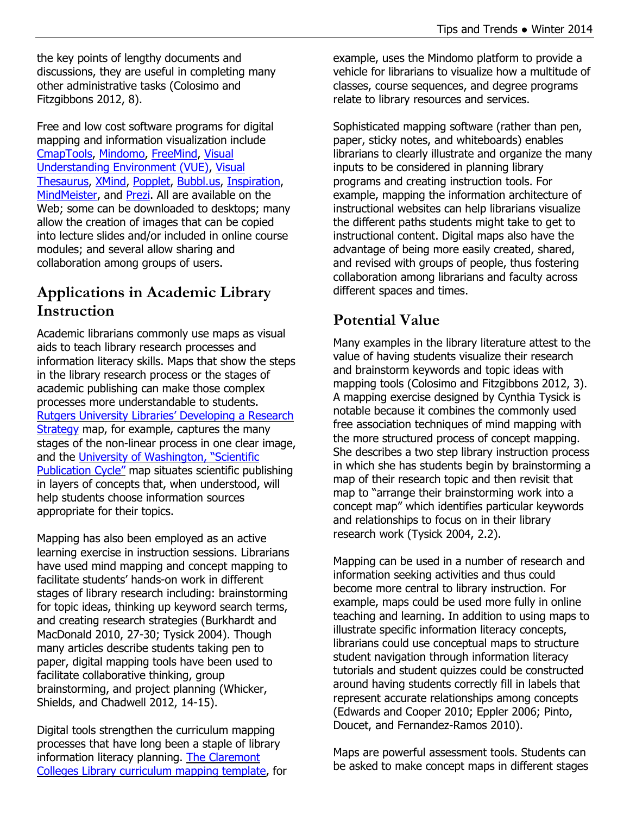the key points of lengthy documents and discussions, they are useful in completing many other administrative tasks (Colosimo and Fitzgibbons 2012, 8).

Free and low cost software programs for digital mapping and information visualization include [CmapTools,](http://ftp.ihmc.us/) [Mindomo,](http://www.mindomo.com/) [FreeMind,](http://freemind.sourceforge.net/wiki/index.php/Main_Page) [Visual](http://vue.tufts.edu/)  [Understanding Environment \(VUE\),](http://vue.tufts.edu/) [Visual](http://www.visualthesaurus.com/)  [Thesaurus,](http://www.visualthesaurus.com/) [XMind,](http://www.xmind.net/) [Popplet,](http://popplet.com/) [Bubbl.us,](https://bubbl.us/) [Inspiration,](http://store.inspiration.com/) [MindMeister,](http://www.mindmeister.com/) and [Prezi.](http://prezi.com/) All are available on the Web; some can be downloaded to desktops; many allow the creation of images that can be copied into lecture slides and/or included in online course modules; and several allow sharing and collaboration among groups of users.

### **Applications in Academic Library Instruction**

Academic librarians commonly use maps as visual aids to teach library research processes and information literacy skills. Maps that show the steps in the library research process or the stages of academic publishing can make those complex processes more understandable to students. Rutgers University Libraries' [Developing](http://newarkwww.rutgers.edu/ecollege/strategy.htm) a Research [Strategy](http://newarkwww.rutgers.edu/ecollege/strategy.htm) map, for example, captures the many stages of the non-linear process in one clear image, and the University of [Washington,](http://www.lib.washington.edu/subject/Environment/Imt220/pubcycle.jpg) "Scientific [Publication](http://www.lib.washington.edu/subject/Environment/Imt220/pubcycle.jpg) Cycle" map situates scientific publishing in layers of concepts that, when understood, will help students choose information sources appropriate for their topics.

Mapping has also been employed as an active learning exercise in instruction sessions. Librarians have used mind mapping and concept mapping to facilitate students' hands-on work in different stages of library research including: brainstorming for topic ideas, thinking up keyword search terms, and creating research strategies (Burkhardt and MacDonald 2010, 27-30; Tysick 2004). Though many articles describe students taking pen to paper, digital mapping tools have been used to facilitate collaborative thinking, group brainstorming, and project planning (Whicker, Shields, and Chadwell 2012, 14-15).

Digital tools strengthen the curriculum mapping processes that have long been a staple of library information literacy planning. The [Claremont](http://www.mindomo.com/mindmap/2012-13-curriculum-mapping-template-claremont-colleges-library-a66df5424c6c4efa8e739ffba7d9f5cc) Colleges Library [curriculum](http://www.mindomo.com/mindmap/2012-13-curriculum-mapping-template-claremont-colleges-library-a66df5424c6c4efa8e739ffba7d9f5cc) mapping template, for

example, uses the Mindomo platform to provide a vehicle for librarians to visualize how a multitude of classes, course sequences, and degree programs relate to library resources and services.

Sophisticated mapping software (rather than pen, paper, sticky notes, and whiteboards) enables librarians to clearly illustrate and organize the many inputs to be considered in planning library programs and creating instruction tools. For example, mapping the information architecture of instructional websites can help librarians visualize the different paths students might take to get to instructional content. Digital maps also have the advantage of being more easily created, shared, and revised with groups of people, thus fostering collaboration among librarians and faculty across different spaces and times.

### **Potential Value**

Many examples in the library literature attest to the value of having students visualize their research and brainstorm keywords and topic ideas with mapping tools (Colosimo and Fitzgibbons 2012, 3). A mapping exercise designed by Cynthia Tysick is notable because it combines the commonly used free association techniques of mind mapping with the more structured process of concept mapping. She describes a two step library instruction process in which she has students begin by brainstorming a map of their research topic and then revisit that map to "arrange their brainstorming work into a concept map" which identifies particular keywords and relationships to focus on in their library research work (Tysick 2004, 2.2).

Mapping can be used in a number of research and information seeking activities and thus could become more central to library instruction. For example, maps could be used more fully in online teaching and learning. In addition to using maps to illustrate specific information literacy concepts, librarians could use conceptual maps to structure student navigation through information literacy tutorials and student quizzes could be constructed around having students correctly fill in labels that represent accurate relationships among concepts (Edwards and Cooper 2010; Eppler 2006; Pinto, Doucet, and Fernandez-Ramos 2010).

Maps are powerful assessment tools. Students can be asked to make concept maps in different stages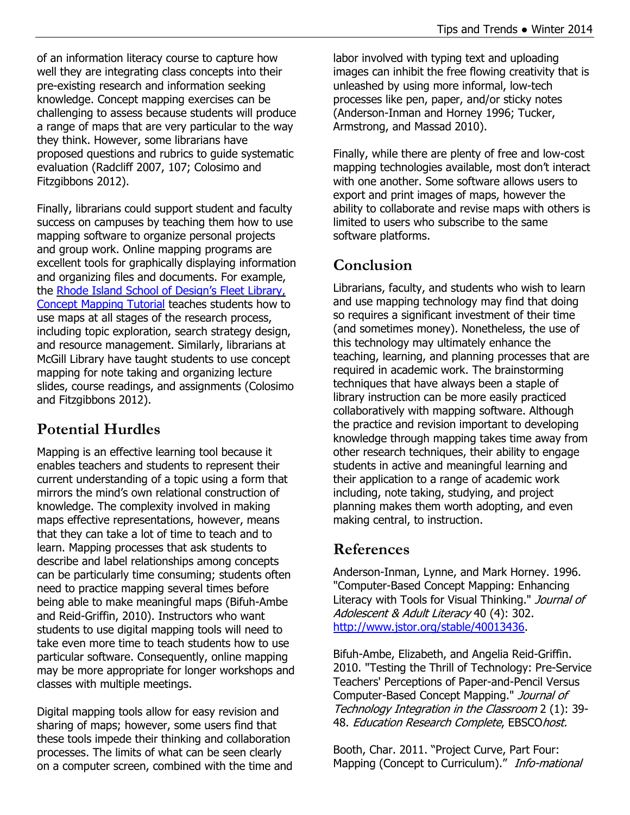of an information literacy course to capture how well they are integrating class concepts into their pre-existing research and information seeking knowledge. Concept mapping exercises can be challenging to assess because students will produce a range of maps that are very particular to the way they think. However, some librarians have proposed questions and rubrics to guide systematic evaluation (Radcliff 2007, 107; Colosimo and Fitzgibbons 2012).

Finally, librarians could support student and faculty success on campuses by teaching them how to use mapping software to organize personal projects and group work. Online mapping programs are excellent tools for graphically displaying information and organizing files and documents. For example, the Rhode Island School of [Design's](http://library.risd.edu/tutorials.html) Fleet Library, Concept [Mapping](http://library.risd.edu/tutorials.html) Tutorial teaches students how to use maps at all stages of the research process, including topic exploration, search strategy design, and resource management. Similarly, librarians at McGill Library have taught students to use concept mapping for note taking and organizing lecture slides, course readings, and assignments (Colosimo and Fitzgibbons 2012).

## **Potential Hurdles**

Mapping is an effective learning tool because it enables teachers and students to represent their current understanding of a topic using a form that mirrors the mind's own relational construction of knowledge. The complexity involved in making maps effective representations, however, means that they can take a lot of time to teach and to learn. Mapping processes that ask students to describe and label relationships among concepts can be particularly time consuming; students often need to practice mapping several times before being able to make meaningful maps (Bifuh-Ambe and Reid-Griffin, 2010). Instructors who want students to use digital mapping tools will need to take even more time to teach students how to use particular software. Consequently, online mapping may be more appropriate for longer workshops and classes with multiple meetings.

Digital mapping tools allow for easy revision and sharing of maps; however, some users find that these tools impede their thinking and collaboration processes. The limits of what can be seen clearly on a computer screen, combined with the time and labor involved with typing text and uploading images can inhibit the free flowing creativity that is unleashed by using more informal, low-tech processes like pen, paper, and/or sticky notes (Anderson-Inman and Horney 1996; Tucker, Armstrong, and Massad 2010).

Finally, while there are plenty of free and low-cost mapping technologies available, most don't interact with one another. Some software allows users to export and print images of maps, however the ability to collaborate and revise maps with others is limited to users who subscribe to the same software platforms.

### **Conclusion**

Librarians, faculty, and students who wish to learn and use mapping technology may find that doing so requires a significant investment of their time (and sometimes money). Nonetheless, the use of this technology may ultimately enhance the teaching, learning, and planning processes that are required in academic work. The brainstorming techniques that have always been a staple of library instruction can be more easily practiced collaboratively with mapping software. Although the practice and revision important to developing knowledge through mapping takes time away from other research techniques, their ability to engage students in active and meaningful learning and their application to a range of academic work including, note taking, studying, and project planning makes them worth adopting, and even making central, to instruction.

#### **References**

Anderson-Inman, Lynne, and Mark Horney. 1996. "Computer-Based Concept Mapping: Enhancing Literacy with Tools for Visual Thinking." Journal of Adolescent & Adult Literacy 40 (4): 302. [http://www.jstor.org/stable/40013436.](http://www.jstor.org/stable/40013436)

Bifuh-Ambe, Elizabeth, and Angelia Reid-Griffin. 2010. "Testing the Thrill of Technology: Pre-Service Teachers' Perceptions of Paper-and-Pencil Versus Computer-Based Concept Mapping." Journal of Technology Integration in the Classroom 2 (1): 39- 48. Education Research Complete, EBSCOhost.

Booth, Char. 2011. "Project Curve, Part Four: Mapping (Concept to Curriculum)." Info-mational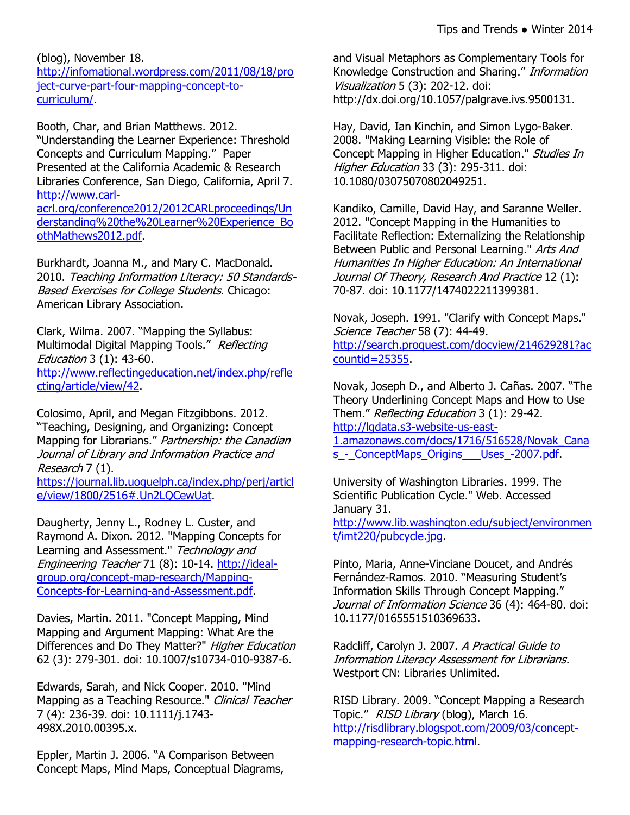(blog), November 18. [http://infomational.wordpress.com/2011/08/18/pro](http://infomational.wordpress.com/2011/08/18/project-curve-part-four-mapping-concept-to-curriculum/) [ject-curve-part-four-mapping-concept-to](http://infomational.wordpress.com/2011/08/18/project-curve-part-four-mapping-concept-to-curriculum/)[curriculum/.](http://infomational.wordpress.com/2011/08/18/project-curve-part-four-mapping-concept-to-curriculum/)

Booth, Char, and Brian Matthews. 2012. "Understanding the Learner Experience: Threshold Concepts and Curriculum Mapping." Paper Presented at the California Academic & Research Libraries Conference, San Diego, California, April 7. [http://www.carl-](http://www.carl-acrl.org/conference2012/2012CARLproceedings/Understanding%20the%20Learner%20Experience_BoothMathews2012.pdf)

[acrl.org/conference2012/2012CARLproceedings/Un](http://www.carl-acrl.org/conference2012/2012CARLproceedings/Understanding%20the%20Learner%20Experience_BoothMathews2012.pdf) [derstanding%20the%20Learner%20Experience\\_Bo](http://www.carl-acrl.org/conference2012/2012CARLproceedings/Understanding%20the%20Learner%20Experience_BoothMathews2012.pdf) [othMathews2012.pdf.](http://www.carl-acrl.org/conference2012/2012CARLproceedings/Understanding%20the%20Learner%20Experience_BoothMathews2012.pdf)

Burkhardt, Joanna M., and Mary C. MacDonald. 2010. Teaching Information Literacy: 50 Standards-Based Exercises for College Students, Chicago: American Library Association.

Clark, Wilma. 2007. "Mapping the Syllabus: Multimodal Digital Mapping Tools." Reflecting Education 3 (1): 43-60. [http://www.reflectingeducation.net/index.php/refle](http://www.reflectingeducation.net/index.php/reflecting/article/view/42) [cting/article/view/42.](http://www.reflectingeducation.net/index.php/reflecting/article/view/42)

Colosimo, April, and Megan Fitzgibbons. 2012. "Teaching, Designing, and Organizing: Concept Mapping for Librarians." Partnership: the Canadian Journal of Library and Information Practice and Research 7 (1).

[https://journal.lib.uoguelph.ca/index.php/perj/articl](https://journal.lib.uoguelph.ca/index.php/perj/article/view/1800/2516#.Un2LQCewUat) [e/view/1800/2516#.Un2LQCewUat.](https://journal.lib.uoguelph.ca/index.php/perj/article/view/1800/2516#.Un2LQCewUat)

Daugherty, Jenny L., Rodney L. Custer, and Raymond A. Dixon. 2012. "Mapping Concepts for Learning and Assessment." Technology and Engineering Teacher 71 (8): 10-14. [http://ideal](http://ideal-group.org/concept-map-research/Mapping-Concepts-for-Learning-and-Assessment.pdf)[group.org/concept-map-research/Mapping-](http://ideal-group.org/concept-map-research/Mapping-Concepts-for-Learning-and-Assessment.pdf)[Concepts-for-Learning-and-Assessment.pdf.](http://ideal-group.org/concept-map-research/Mapping-Concepts-for-Learning-and-Assessment.pdf)

Davies, Martin. 2011. "Concept Mapping, Mind Mapping and Argument Mapping: What Are the Differences and Do They Matter?" Higher Education 62 (3): 279-301. doi: 10.1007/s10734-010-9387-6.

Edwards, Sarah, and Nick Cooper. 2010. "Mind Mapping as a Teaching Resource." Clinical Teacher 7 (4): 236-39. doi: 10.1111/j.1743- 498X.2010.00395.x.

Eppler, Martin J. 2006. "A Comparison Between Concept Maps, Mind Maps, Conceptual Diagrams, and Visual Metaphors as Complementary Tools for Knowledge Construction and Sharing." Information Visualization 5 (3): 202-12. doi: http://dx.doi.org/10.1057/palgrave.ivs.9500131.

Hay, David, Ian Kinchin, and Simon Lygo-Baker. 2008. "Making Learning Visible: the Role of Concept Mapping in Higher Education." Studies In Higher Education 33 (3): 295-311. doi: 10.1080/03075070802049251.

Kandiko, Camille, David Hay, and Saranne Weller. 2012. "Concept Mapping in the Humanities to Facilitate Reflection: Externalizing the Relationship Between Public and Personal Learning." Arts And Humanities In Higher Education: An International Journal Of Theory, Research And Practice 12 (1): 70-87. doi: 10.1177/1474022211399381.

Novak, Joseph. 1991. "Clarify with Concept Maps." Science Teacher 58 (7): 44-49. [http://search.proquest.com/docview/214629281?ac](http://search.proquest.com/docview/214629281?accountid=25355) [countid=25355.](http://search.proquest.com/docview/214629281?accountid=25355)

Novak, Joseph D., and Alberto J. Cañas. 2007. "The Theory Underlining Concept Maps and How to Use Them." Reflecting Education 3 (1): 29-42. [http://lgdata.s3-website-us-east-](http://lgdata.s3-website-us-east-1.amazonaws.com/docs/1716/516528/Novak_Canas_-_ConceptMaps_Origins___Uses_-2007.pdf)

[1.amazonaws.com/docs/1716/516528/Novak\\_Cana](http://lgdata.s3-website-us-east-1.amazonaws.com/docs/1716/516528/Novak_Canas_-_ConceptMaps_Origins___Uses_-2007.pdf) s - ConceptMaps Origins Uses -2007.pdf.

University of Washington Libraries. 1999. The Scientific Publication Cycle." Web. Accessed January 31.

[http://www.lib.washington.edu/subject/environmen](http://www.lib.washington.edu/subject/environment/imt220/pubcycle.jpg) [t/imt220/pubcycle.jpg.](http://www.lib.washington.edu/subject/environment/imt220/pubcycle.jpg)

Pinto, Maria, Anne-Vinciane Doucet, and Andrés Fernández-Ramos. 2010. "Measuring Student's Information Skills Through Concept Mapping." Journal of Information Science 36 (4): 464-80. doi: 10.1177/0165551510369633.

Radcliff, Carolyn J. 2007. A Practical Guide to Information Literacy Assessment for Librarians. Westport CN: Libraries Unlimited.

RISD Library. 2009. "Concept Mapping a Research Topic." RISD Library (blog), March 16. [http://risdlibrary.blogspot.com/2009/03/concept](http://risdlibrary.blogspot.com/2009/03/concept-mapping-research-topic.html)[mapping-research-topic.html.](http://risdlibrary.blogspot.com/2009/03/concept-mapping-research-topic.html)